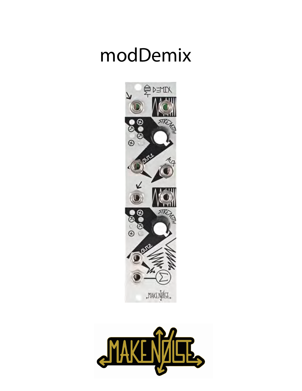# modDemix



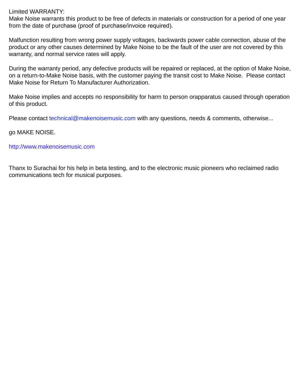### Limited WARRANTY:

Make Noise warrants this product to be free of defects in materials or construction for a period of one year from the date of purchase (proof of purchase/invoice required).

Malfunction resulting from wrong power supply voltages, backwards power cable connection, abuse of the product or any other causes determined by Make Noise to be the fault of the user are not covered by this warranty, and normal service rates will apply.

During the warranty period, any defective products will be repaired or replaced, at the option of Make Noise, on a return-to-Make Noise basis, with the customer paying the transit cost to Make Noise. Please contact Make Noise for Return To Manufacturer Authorization.

Make Noise implies and accepts no responsibility for harm to person orapparatus caused through operation of this product.

Please contact technical@makenoisemusic.com with any questions, needs & comments, otherwise...

#### go MAKE NOISE.

#### http://www.makenoisemusic.com

Thanx to Surachai for his help in beta testing, and to the electronic music pioneers who reclaimed radio communications tech for musical purposes.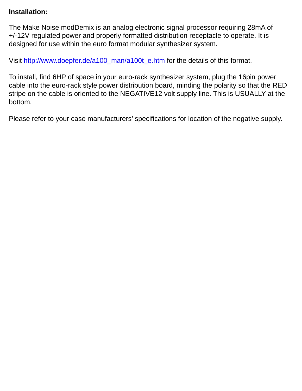## **Installation:**

The Make Noise modDemix is an analog electronic signal processor requiring 28mA of +/-12V regulated power and properly formatted distribution receptacle to operate. It is designed for use within the euro format modular synthesizer system.

Visit http://www.doepfer.de/a100\_man/a100t\_e.htm for the details of this format.

To install, find 6HP of space in your euro-rack synthesizer system, plug the 16pin power cable into the euro-rack style power distribution board, minding the polarity so that the RED stripe on the cable is oriented to the NEGATIVE12 volt supply line. This is USUALLY at the bottom.

Please refer to your case manufacturers' specifications for location of the negative supply.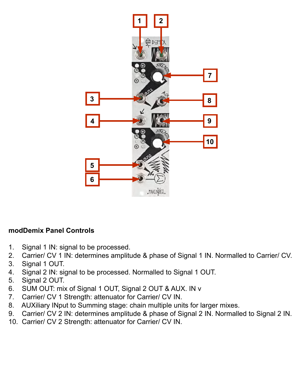

## **modDemix Panel Controls**

- 1. Signal 1 IN: signal to be processed.
- 2. Carrier/ CV 1 IN: determines amplitude & phase of Signal 1 IN. Normalled to Carrier/ CV.
- 3. Signal 1 OUT.
- 4. Signal 2 IN: signal to be processed. Normalled to Signal 1 OUT.
- 5. Signal 2 OUT.
- 6. SUM OUT: mix of Signal 1 OUT, Signal 2 OUT & AUX. IN v
- 7. Carrier/ CV 1 Strength: attenuator for Carrier/ CV IN.
- 8. AUXiliary INput to Summing stage: chain multiple units for larger mixes.
- 9. Carrier/ CV 2 IN: determines amplitude & phase of Signal 2 IN. Normalled to Signal 2 IN.
- 10. Carrier/ CV 2 Strength: attenuator for Carrier/ CV IN.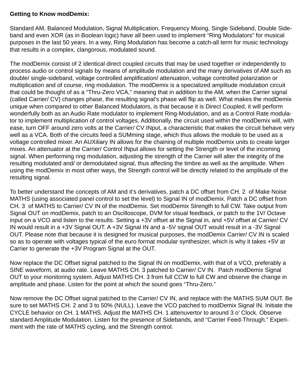## **Getting to Know modDemix:**

Standard AM, Balanced Modulation, Signal Multiplication, Frequency Mixing, Single Sideband, Double Sideband and even XOR (as in Boolean logic) have all been used to implement "Ring Modulators" for musical purposes in the last 50 years. In a way, Ring Modulation has become a catch-all term for music technology that results in a complex, clangorous, modulated sound.

The modDemix consist of 2 identical direct coupled circuits that may be used together or independently to process audio or control signals by means of amplitude modulation and the many derivatives of AM such as double/ single-sideband, voltage controlled amplification/ attenuation, voltage controlled polarization or multiplication and of course, ring modulation. The modDemix is a specialized amplitude modulation circuit that could be thought of as a "Thru-Zero VCA," meaning that in addition to the AM, when the Carrier signal (called Carrier/ CV) changes phase, the resulting signal's phase will flip as well. What makes the modDemix unique when compared to other Balanced Modulators, is that because it is Direct Coupled, it will perform wonderfully both as an Audio Rate modulator to implement Ring-Modulation, and as a Control Rate modulator to implement multiplication of control voltages. Additionally, the circuit used within the modDemix will, with ease, turn OFF around zero volts at the Carrier/ CV INput, a characteristic that makes the circuit behave very well as a VCA. Both of the circuits feed a SUMming stage, which thus allows the module to be used as a voltage controlled mixer. An AUXiliary IN allows for the chaining of multiple modDemix units to create larger mixes. An attenuator at the Carrier/ Control INput allows for setting the Strength or level of the incoming signal. When performing ring modulation, adjusting the strength of the Carrier will alter the integrity of the resulting modulated and/ or demodulated signal, thus affecting the timbre as well as the amplitude. When using the modDemix in most other ways, the Strength control will be directly related to the amplitude of the resulting signal.

To better understand the concepts of AM and it's derivatives, patch a DC offset from CH. 2 of Make Noise MATHS (using associated panel control to set the level) to Signal IN of modDemix. Patch a DC offset from CH. 3 of MATHS to Carrier/ CV IN of the modDemix. Set modDemix Strength to full CW. Take output from Signal OUT on modDemix, patch to an Oscilloscope, DVM for visual feedback, or patch to the 1V/ Octave input on a VCO and listen to the results. Setting a +3V offset at the Signal in, and +5V offset at Carrier/ CV IN would result in a +3V Signal OUT. A +3V Signal IN and a -5V signal OUT would result in a -3V Signal OUT. Please note that because it is designed for musical purposes, the modDemix Carrier/ CV IN is scaled so as to operate with voltages typical of the euro format modular synthesizer, which is why it takes +5V at Carrier to generate the +3V Program Signal at the OUT.

Now replace the DC Offset signal patched to the Signal IN on modDemix, with that of a VCO, preferably a SINE waveform, at audio rate. Leave MATHS CH. 3 patched to Carrier/ CV IN. Patch modDemix Signal OUT to your monitoring system. Adjust MATHS CH. 3 from full CCW to full CW and observe the change in amplitude and phase. Listen for the point at which the sound goes "Thru-Zero."

Now remove the DC Offset signal patched to the Carrier/ CV IN, and replace with the MATHS SUM OUT. Be sure to set MATHS CH. 2 and 3 to 50% (NULL). Leave the VCO patched to modDemix Signal IN. Initiate the CYCLE behavior on CH. 1 MATHS. Adjust the MATHS CH. 1 attenuvertor to around 3 o' Clock. Observe standard Amplitude Modulation. Listen for the presence of Sidebands, and "Carrier Feed-Through." Experiment with the rate of MATHS cycling, and the Strength control.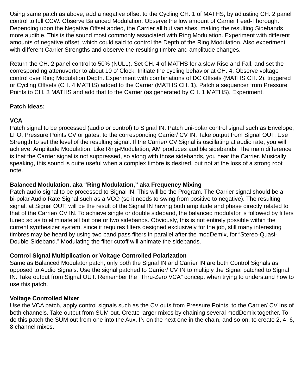Using same patch as above, add a negative offset to the Cycling CH. 1 of MATHS, by adjusting CH. 2 panel control to full CCW. Observe Balanced Modulation. Observe the low amount of Carrier Feed-Thorough. Depending upon the Negative Offset added, the Carrier all but vanishes, making the resulting Sidebands more audible. This is the sound most commonly associated with Ring Modulation. Experiment with different amounts of negative offset, which could said to control the Depth of the Ring Modulation. Also experiment with different Carrier Strengths and observe the resulting timbre and amplitude changes.

Return the CH. 2 panel control to 50% (NULL). Set CH. 4 of MATHS for a slow Rise and Fall, and set the corresponding attenuvertor to about 10 o' Clock. Initiate the cycling behavior at CH. 4. Observe voltage control over Ring Modulation Depth. Experiment with combinations of DC Offsets (MATHS CH. 2), triggered or Cycling Offsets (CH. 4 MATHS) added to the Carrier (MATHS CH. 1). Patch a sequencer from Pressure Points to CH. 3 MATHS and add that to the Carrier (as generated by CH. 1 MATHS). Experiment.

## **Patch Ideas:**

## **VCA**

Patch signal to be processed (audio or control) to Signal IN. Patch uni-polar control signal such as Envelope, LFO, Pressure Points CV or gates, to the corresponding Carrier/ CV IN. Take output from Signal OUT. Use Strength to set the level of the resulting signal. If the Carrier/ CV Signal is oscillating at audio rate, you will achieve. Amplitude Modulation. Like Ring-Modulation, AM produces audible sidebands. The main difference is that the Carrier signal is not suppressed, so along with those sidebands, you hear the Carrier. Musically speaking, this sound is quite useful when a complex timbre is desired, but not at the loss of a strong root note.

## **Balanced Modulation, aka "Ring Modulation," aka Frequency Mixing**

Patch audio signal to be processed to Signal IN. This will be the Program. The Carrier signal should be a bi-polar Audio Rate Signal such as a VCO (so it needs to swing from positive to negative). The resulting signal, at Signal OUT, will be the result of the Signal IN having both amplitude and phase directly related to that of the Carrier/ CV IN. To achieve single or double sideband, the balanced modulator is followed by filters tuned so as to eliminate all but one or two sidebands. Obviously, this is not entirely possible within the current synthesizer system, since it requires filters designed exclusively for the job, still many interesting timbres may be heard by using two band pass filters in parallel after the modDemix, for "Stereo-Quasi-Double-Sideband." Modulating the filter cutoff will animate the sidebands.

## **Control Signal Multiplication or Voltage Controlled Polarization**

Same as Balanced Modulator patch, only both the Signal IN and Carrier IN are both Control Signals as opposed to Audio Signals. Use the signal patched to Carrier/ CV IN to multiply the Signal patched to Signal IN. Take output from Signal OUT. Remember the "Thru-Zero VCA" concept when trying to understand how to use this patch.

## **Voltage Controlled Mixer**

Use the VCA patch, apply control signals such as the CV outs from Pressure Points, to the Carrier/ CV Ins of both channels. Take output from SUM out. Create larger mixes by chaining several modDemix together. To do this patch the SUM out from one into the Aux. IN on the next one in the chain, and so on, to create 2, 4, 6, 8 channel mixes.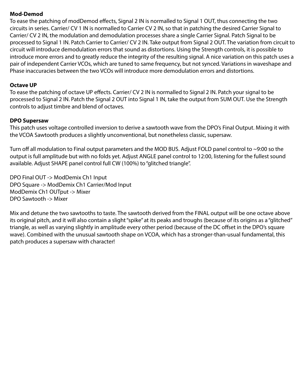## **Mod-Demod**

To ease the patching of modDemod effects, Signal 2 IN is normalled to Signal 1 OUT, thus connecting the two circuits in series. Carrier/ CV 1 IN is normalled to Carrier CV 2 IN, so that in patching the desired Carrier Signal to Carrier/ CV 2 IN, the modulation and demodulation processes share a single Carrier Signal. Patch Signal to be processed to Signal 1 IN. Patch Carrier to Carrier/ CV 2 IN. Take output from Signal 2 OUT. The variation from circuit to circuit will introduce demodulation errors that sound as distortions. Using the Strength controls, it is possible to introduce more errors and to greatly reduce the integrity of the resulting signal. A nice variation on this patch uses a pair of independent Carrier VCOs, which are tuned to same frequency, but not synced. Variations in waveshape and Phase inaccuracies between the two VCOs will introduce more demodulation errors and distortions.

## **Octave UP**

To ease the patching of octave UP effects. Carrier/ CV 2 IN is normalled to Signal 2 IN. Patch your signal to be processed to Signal 2 IN. Patch the Signal 2 OUT into Signal 1 IN, take the output from SUM OUT. Use the Strength controls to adjust timbre and blend of octaves.

## **DPO Supersaw**

This patch uses voltage controlled inversion to derive a sawtooth wave from the DPO's Final Output. Mixing it with the VCOA Sawtooth produces a slightly unconventional, but nonetheless classic, supersaw.

Turn off all modulation to Final output parameters and the MOD BUS. Adjust FOLD panel control to  $\sim$ 9:00 so the output is full amplitude but with no folds yet. Adjust ANGLE panel control to 12:00, listening for the fullest sound available. Adjust SHAPE panel control full CW (100%) to "glitched triangle".

DPO Final OUT -> ModDemix Ch1 Input DPO Square -> ModDemix Ch1 Carrier/Mod Input ModDemix Ch1 OUTput -> Mixer DPO Sawtooth -> Mixer

Mix and detune the two sawtooths to taste. The sawtooth derived from the FINAL output will be one octave above its original pitch, and it will also contain a slight "spike" at its peaks and troughs (because of its origins as a "glitched" triangle, as well as varying slightly in amplitude every other period (because of the DC offset in the DPO's square wave). Combined with the unusual sawtooth shape on VCOA, which has a stronger-than-usual fundamental, this patch produces a supersaw with character!